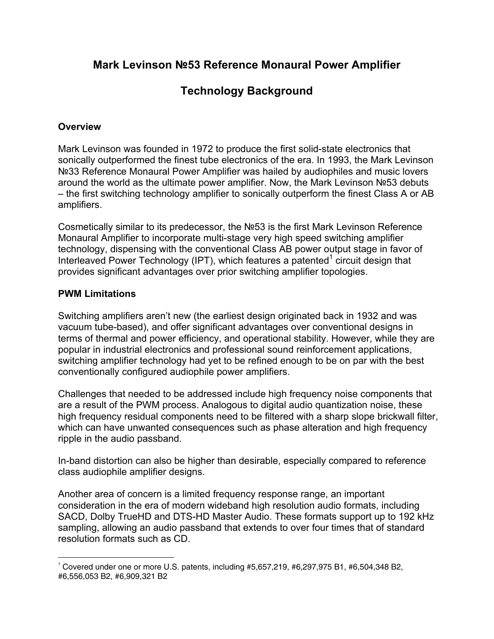# **Mark Levinson №53 Reference Monaural Power Amplifier**

# **Technology Background**

#### **Overview**

Mark Levinson was founded in 1972 to produce the first solid-state electronics that sonically outperformed the finest tube electronics of the era. In 1993, the Mark Levinson Nº33 Reference Monaural Power Amplifier was hailed by audiophiles and music lovers around the world as the ultimate power amplifier. Now, the Mark Levinson №53 debuts – the first switching technology amplifier to sonically outperform the finest Class A or AB amplifiers.

Cosmetically similar to its predecessor, the №53 is the first Mark Levinson Reference Monaural Amplifier to incorporate multi-stage very high speed switching amplifier technology, dispensing with the conventional Class AB power output stage in favor of Interleaved Power Technology (IPT), which features a patented $1$  circuit design that provides significant advantages over prior switching amplifier topologies.

#### **PWM Limitations**

Switching amplifiers aren't new (the earliest design originated back in 1932 and was vacuum tube-based), and offer significant advantages over conventional designs in terms of thermal and power efficiency, and operational stability. However, while they are popular in industrial electronics and professional sound reinforcement applications, switching amplifier technology had yet to be refined enough to be on par with the best conventionally configured audiophile power amplifiers.

Challenges that needed to be addressed include high frequency noise components that are a result of the PWM process. Analogous to digital audio quantization noise, these high frequency residual components need to be filtered with a sharp slope brickwall filter, which can have unwanted consequences such as phase alteration and high frequency ripple in the audio passband.

In-band distortion can also be higher than desirable, especially compared to reference class audiophile amplifier designs.

Another area of concern is a limited frequency response range, an important consideration in the era of modern wideband high resolution audio formats, including SACD, Dolby TrueHD and DTS-HD Master Audio. These formats support up to 192 kHz sampling, allowing an audio passband that extends to over four times that of standard resolution formats such as CD.

 $\overline{a}$ 1 Covered under one or more U.S. patents, including #5,657,219, #6,297,975 B1, #6,504,348 B2, #6,556,053 B2, #6,909,321 B2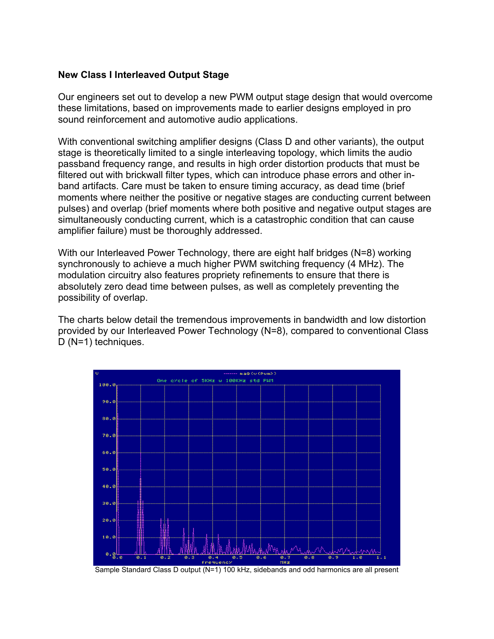#### **New Class I Interleaved Output Stage**

Our engineers set out to develop a new PWM output stage design that would overcome these limitations, based on improvements made to earlier designs employed in pro sound reinforcement and automotive audio applications.

With conventional switching amplifier designs (Class D and other variants), the output stage is theoretically limited to a single interleaving topology, which limits the audio passband frequency range, and results in high order distortion products that must be filtered out with brickwall filter types, which can introduce phase errors and other inband artifacts. Care must be taken to ensure timing accuracy, as dead time (brief moments where neither the positive or negative stages are conducting current between pulses) and overlap (brief moments where both positive and negative output stages are simultaneously conducting current, which is a catastrophic condition that can cause amplifier failure) must be thoroughly addressed.

With our Interleaved Power Technology, there are eight half bridges (N=8) working synchronously to achieve a much higher PWM switching frequency (4 MHz). The modulation circuitry also features propriety refinements to ensure that there is absolutely zero dead time between pulses, as well as completely preventing the possibility of overlap.

The charts below detail the tremendous improvements in bandwidth and low distortion provided by our Interleaved Power Technology (N=8), compared to conventional Class D (N=1) techniques.



Sample Standard Class D output (N=1) 100 kHz, sidebands and odd harmonics are all present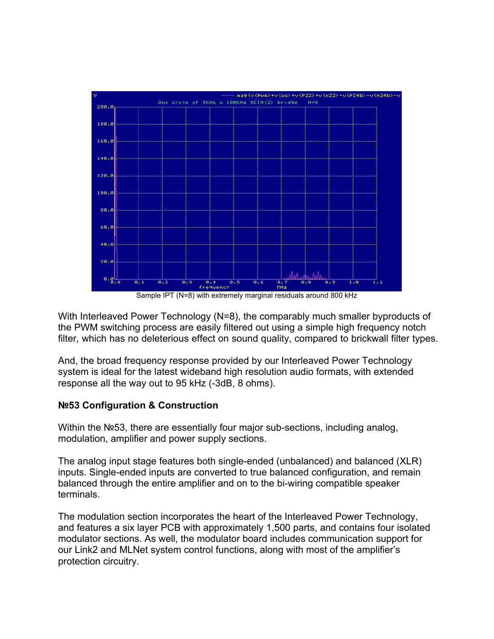

Sample IPT (N=8) with extremely marginal residuals around 800 kHz

With Interleaved Power Technology (N=8), the comparably much smaller byproducts of the PWM switching process are easily filtered out using a simple high frequency notch filter, which has no deleterious effect on sound quality, compared to brickwall filter types.

And, the broad frequency response provided by our Interleaved Power Technology system is ideal for the latest wideband high resolution audio formats, with extended response all the way out to 95 kHz (-3dB, 8 ohms).

### **№53 Configuration & Construction**

Within the №53, there are essentially four major sub-sections, including analog, modulation, amplifier and power supply sections.

The analog input stage features both single-ended (unbalanced) and balanced (XLR) inputs. Single-ended inputs are converted to true balanced configuration, and remain balanced through the entire amplifier and on to the bi-wiring compatible speaker terminals.

The modulation section incorporates the heart of the Interleaved Power Technology, and features a six layer PCB with approximately 1,500 parts, and contains four isolated modulator sections. As well, the modulator board includes communication support for our Link2 and MLNet system control functions, along with most of the amplifier's protection circuitry.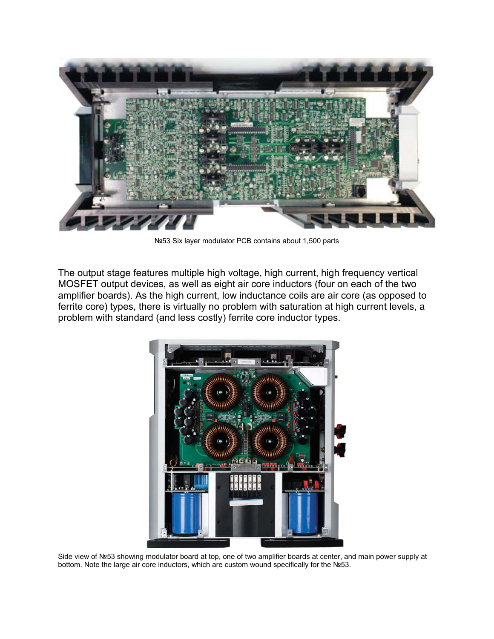

№53 Six layer modulator PCB contains about 1,500 parts

The output stage features multiple high voltage, high current, high frequency vertical MOSFET output devices, as well as eight air core inductors (four on each of the two amplifier boards). As the high current, low inductance coils are air core (as opposed to ferrite core) types, there is virtually no problem with saturation at high current levels, a problem with standard (and less costly) ferrite core inductor types.



Side view of №53 showing modulator board at top, one of two amplifier boards at center, and main power supply at bottom. Note the large air core inductors, which are custom wound specifically for the №53.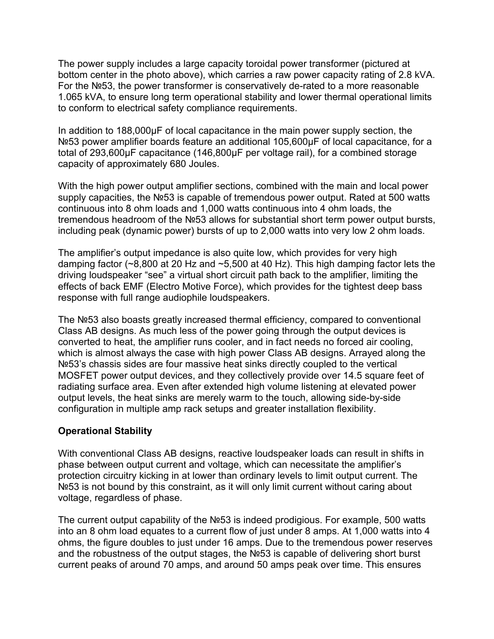The power supply includes a large capacity toroidal power transformer (pictured at bottom center in the photo above), which carries a raw power capacity rating of 2.8 kVA. For the №53, the power transformer is conservatively de-rated to a more reasonable 1.065 kVA, to ensure long term operational stability and lower thermal operational limits to conform to electrical safety compliance requirements.

In addition to 188,000µF of local capacitance in the main power supply section, the Nº53 power amplifier boards feature an additional 105,600µF of local capacitance, for a total of 293,600µF capacitance (146,800µF per voltage rail), for a combined storage capacity of approximately 680 Joules.

With the high power output amplifier sections, combined with the main and local power supply capacities, the №53 is capable of tremendous power output. Rated at 500 watts continuous into 8 ohm loads and 1,000 watts continuous into 4 ohm loads, the tremendous headroom of the №53 allows for substantial short term power output bursts, including peak (dynamic power) bursts of up to 2,000 watts into very low 2 ohm loads.

The amplifier's output impedance is also quite low, which provides for very high damping factor (~8,800 at 20 Hz and ~5,500 at 40 Hz). This high damping factor lets the driving loudspeaker "see" a virtual short circuit path back to the amplifier, limiting the effects of back EMF (Electro Motive Force), which provides for the tightest deep bass response with full range audiophile loudspeakers.

The №53 also boasts greatly increased thermal efficiency, compared to conventional Class AB designs. As much less of the power going through the output devices is converted to heat, the amplifier runs cooler, and in fact needs no forced air cooling, which is almost always the case with high power Class AB designs. Arrayed along the №53's chassis sides are four massive heat sinks directly coupled to the vertical MOSFET power output devices, and they collectively provide over 14.5 square feet of radiating surface area. Even after extended high volume listening at elevated power output levels, the heat sinks are merely warm to the touch, allowing side-by-side configuration in multiple amp rack setups and greater installation flexibility.

#### **Operational Stability**

With conventional Class AB designs, reactive loudspeaker loads can result in shifts in phase between output current and voltage, which can necessitate the amplifier's protection circuitry kicking in at lower than ordinary levels to limit output current. The Nº53 is not bound by this constraint, as it will only limit current without caring about voltage, regardless of phase.

The current output capability of the №53 is indeed prodigious. For example, 500 watts into an 8 ohm load equates to a current flow of just under 8 amps. At 1,000 watts into 4 ohms, the figure doubles to just under 16 amps. Due to the tremendous power reserves and the robustness of the output stages, the №53 is capable of delivering short burst current peaks of around 70 amps, and around 50 amps peak over time. This ensures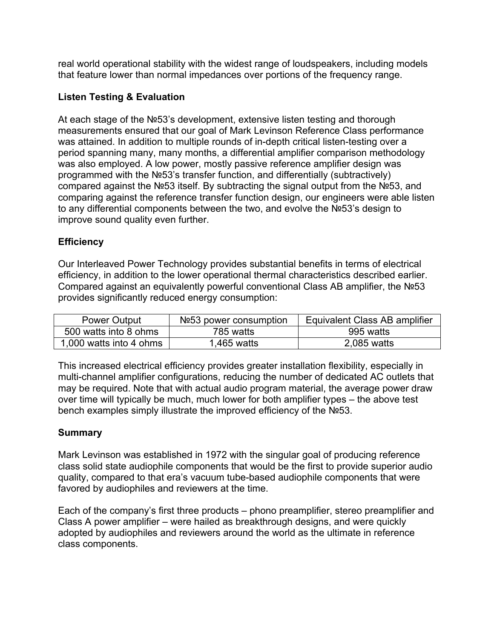real world operational stability with the widest range of loudspeakers, including models that feature lower than normal impedances over portions of the frequency range.

## **Listen Testing & Evaluation**

At each stage of the №53's development, extensive listen testing and thorough measurements ensured that our goal of Mark Levinson Reference Class performance was attained. In addition to multiple rounds of in-depth critical listen-testing over a period spanning many, many months, a differential amplifier comparison methodology was also employed. A low power, mostly passive reference amplifier design was programmed with the №53's transfer function, and differentially (subtractively) compared against the №53 itself. By subtracting the signal output from the №53, and comparing against the reference transfer function design, our engineers were able listen to any differential components between the two, and evolve the №53's design to improve sound quality even further.

## **Efficiency**

Our Interleaved Power Technology provides substantial benefits in terms of electrical efficiency, in addition to the lower operational thermal characteristics described earlier. Compared against an equivalently powerful conventional Class AB amplifier, the №53 provides significantly reduced energy consumption:

| Power Output            | N <sub>2</sub> 53 power consumption | Equivalent Class AB amplifier |
|-------------------------|-------------------------------------|-------------------------------|
| 500 watts into 8 ohms   | 785 watts                           | 995 watts                     |
| 1,000 watts into 4 ohms | l 465 watts                         | 2,085 watts                   |

This increased electrical efficiency provides greater installation flexibility, especially in multi-channel amplifier configurations, reducing the number of dedicated AC outlets that may be required. Note that with actual audio program material, the average power draw over time will typically be much, much lower for both amplifier types – the above test bench examples simply illustrate the improved efficiency of the №53.

## **Summary**

Mark Levinson was established in 1972 with the singular goal of producing reference class solid state audiophile components that would be the first to provide superior audio quality, compared to that era's vacuum tube-based audiophile components that were favored by audiophiles and reviewers at the time.

Each of the company's first three products – phono preamplifier, stereo preamplifier and Class A power amplifier – were hailed as breakthrough designs, and were quickly adopted by audiophiles and reviewers around the world as the ultimate in reference class components.